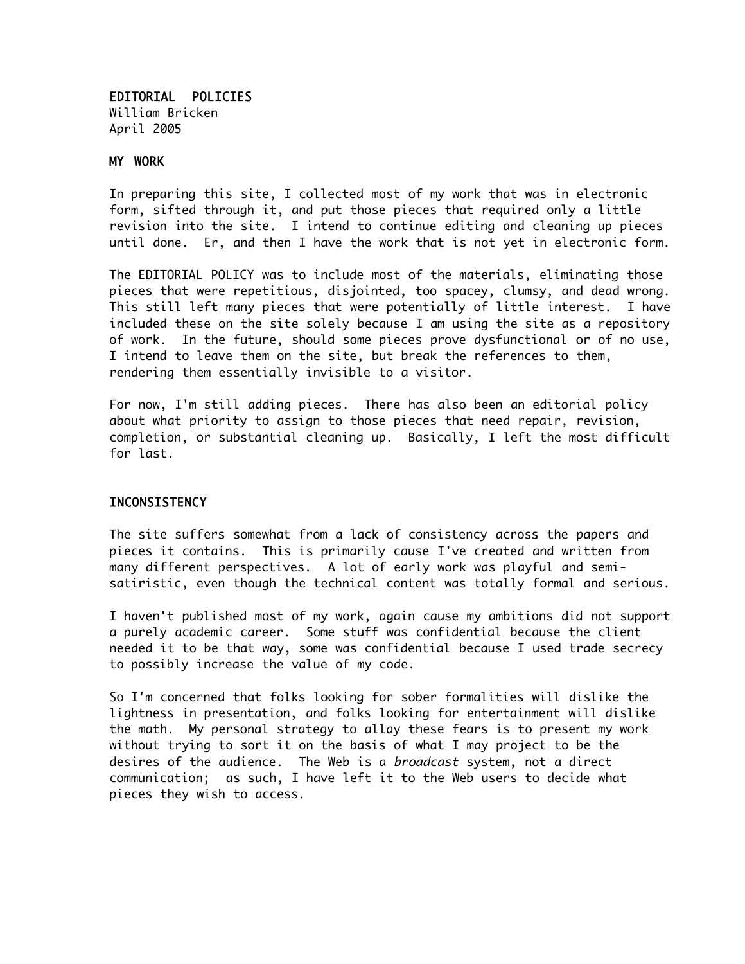EDITORIAL POLICIES William Bricken April 2005

#### MY WORK

In preparing this site, I collected most of my work that was in electronic form, sifted through it, and put those pieces that required only a little revision into the site. I intend to continue editing and cleaning up pieces until done. Er, and then I have the work that is not yet in electronic form.

The EDITORIAL POLICY was to include most of the materials, eliminating those pieces that were repetitious, disjointed, too spacey, clumsy, and dead wrong. This still left many pieces that were potentially of little interest. I have included these on the site solely because I am using the site as a repository of work. In the future, should some pieces prove dysfunctional or of no use, I intend to leave them on the site, but break the references to them, rendering them essentially invisible to a visitor.

For now, I'm still adding pieces. There has also been an editorial policy about what priority to assign to those pieces that need repair, revision, completion, or substantial cleaning up. Basically, I left the most difficult for last.

## **INCONSISTENCY**

The site suffers somewhat from a lack of consistency across the papers and pieces it contains. This is primarily cause I've created and written from many different perspectives. A lot of early work was playful and semisatiristic, even though the technical content was totally formal and serious.

I haven't published most of my work, again cause my ambitions did not support a purely academic career. Some stuff was confidential because the client needed it to be that way, some was confidential because I used trade secrecy to possibly increase the value of my code.

So I'm concerned that folks looking for sober formalities will dislike the lightness in presentation, and folks looking for entertainment will dislike the math. My personal strategy to allay these fears is to present my work without trying to sort it on the basis of what I may project to be the desires of the audience. The Web is a broadcast system, not a direct communication; as such, I have left it to the Web users to decide what pieces they wish to access.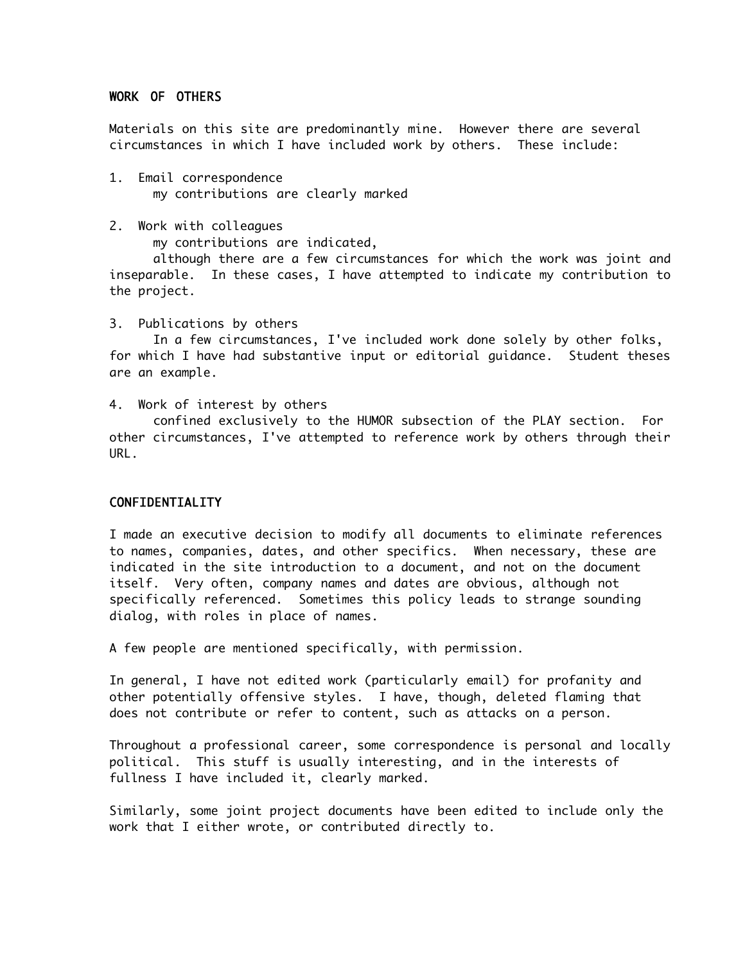## WORK OF OTHERS

Materials on this site are predominantly mine. However there are several circumstances in which I have included work by others. These include:

- 1. Email correspondence my contributions are clearly marked
- 2. Work with colleagues

my contributions are indicated,

although there are a few circumstances for which the work was joint and inseparable. In these cases, I have attempted to indicate my contribution to the project.

3. Publications by others

In a few circumstances, I've included work done solely by other folks, for which I have had substantive input or editorial guidance. Student theses are an example.

4. Work of interest by others

confined exclusively to the HUMOR subsection of the PLAY section. For other circumstances, I've attempted to reference work by others through their URL.

# CONFIDENTIALITY

I made an executive decision to modify all documents to eliminate references to names, companies, dates, and other specifics. When necessary, these are indicated in the site introduction to a document, and not on the document itself. Very often, company names and dates are obvious, although not specifically referenced. Sometimes this policy leads to strange sounding dialog, with roles in place of names.

A few people are mentioned specifically, with permission.

In general, I have not edited work (particularly email) for profanity and other potentially offensive styles. I have, though, deleted flaming that does not contribute or refer to content, such as attacks on a person.

Throughout a professional career, some correspondence is personal and locally political. This stuff is usually interesting, and in the interests of fullness I have included it, clearly marked.

Similarly, some joint project documents have been edited to include only the work that I either wrote, or contributed directly to.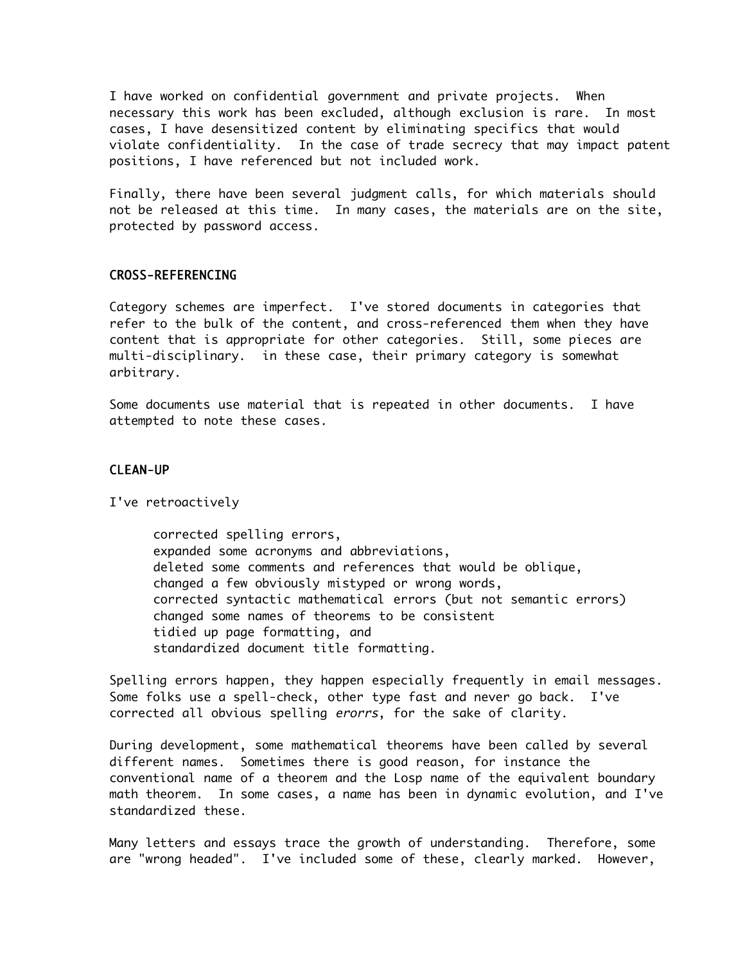I have worked on confidential government and private projects. When necessary this work has been excluded, although exclusion is rare. In most cases, I have desensitized content by eliminating specifics that would violate confidentiality. In the case of trade secrecy that may impact patent positions, I have referenced but not included work.

Finally, there have been several judgment calls, for which materials should not be released at this time. In many cases, the materials are on the site, protected by password access.

#### CROSS-REFERENCING

Category schemes are imperfect. I've stored documents in categories that refer to the bulk of the content, and cross-referenced them when they have content that is appropriate for other categories. Still, some pieces are multi-disciplinary. in these case, their primary category is somewhat arbitrary.

Some documents use material that is repeated in other documents. I have attempted to note these cases.

## CLEAN-UP

I've retroactively

corrected spelling errors, expanded some acronyms and abbreviations, deleted some comments and references that would be oblique, changed a few obviously mistyped or wrong words, corrected syntactic mathematical errors (but not semantic errors) changed some names of theorems to be consistent tidied up page formatting, and standardized document title formatting.

Spelling errors happen, they happen especially frequently in email messages. Some folks use a spell-check, other type fast and never go back. I've corrected all obvious spelling erorrs, for the sake of clarity.

During development, some mathematical theorems have been called by several different names. Sometimes there is good reason, for instance the conventional name of a theorem and the Losp name of the equivalent boundary math theorem. In some cases, a name has been in dynamic evolution, and I've standardized these.

Many letters and essays trace the growth of understanding. Therefore, some are "wrong headed". I've included some of these, clearly marked. However,